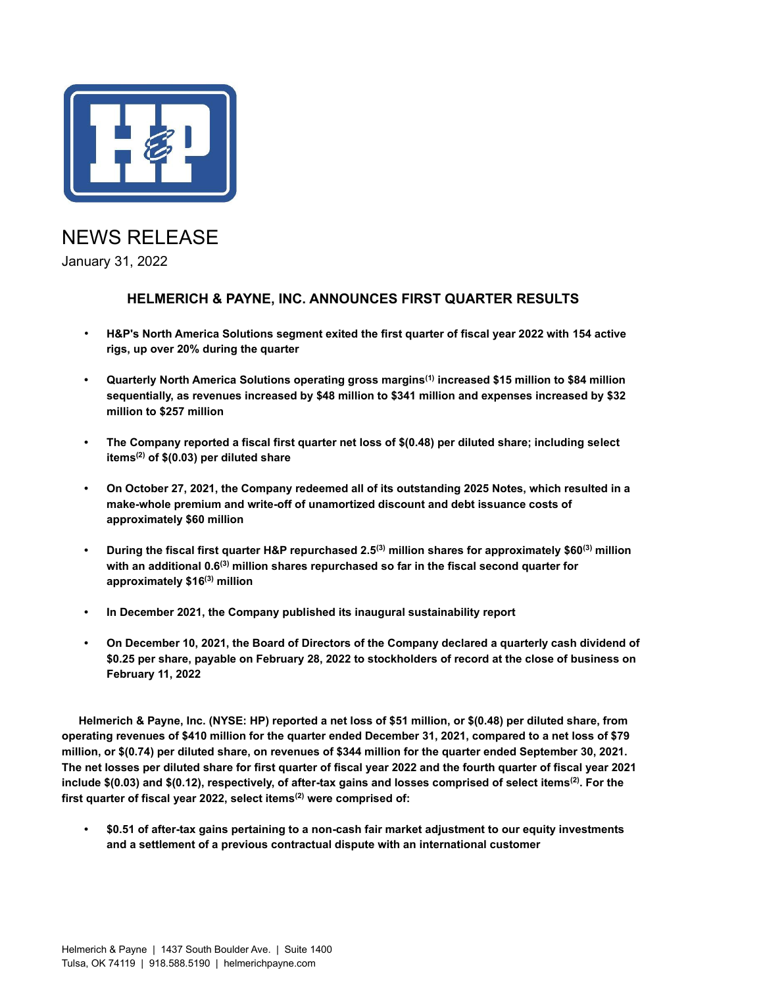

# NEWS RELEASE

January 31, 2022

### **HELMERICH & PAYNE, INC. ANNOUNCES FIRST QUARTER RESULTS**

- **H&P's North America Solutions segment exited the first quarter of fiscal year 2022 with 154 active rigs, up over 20% during the quarter**
- **• Quarterly North America Solutions operating gross margins(1) increased \$15 million to \$84 million sequentially, as revenues increased by \$48 million to \$341 million and expenses increased by \$32 million to \$257 million**
- **• The Company reported a fiscal first quarter net loss of \$(0.48) per diluted share; including select items(2) of \$(0.03) per diluted share**
- **• On October 27, 2021, the Company redeemed all of its outstanding 2025 Notes, which resulted in a make-whole premium and write-off of unamortized discount and debt issuance costs of approximately \$60 million**
- **• During the fiscal first quarter H&P repurchased 2.5(3) million shares for approximately \$60(3) million with an additional 0.6(3) million shares repurchased so far in the fiscal second quarter for approximately \$16(3) million**
- **• In December 2021, the Company published its inaugural sustainability report**
- **• On December 10, 2021, the Board of Directors of the Company declared a quarterly cash dividend of \$0.25 per share, payable on February 28, 2022 to stockholders of record at the close of business on February 11, 2022**

**Helmerich & Payne, Inc. (NYSE: HP) reported a net loss of \$51 million, or \$(0.48) per diluted share, from operating revenues of \$410 million for the quarter ended December 31, 2021, compared to a net loss of \$79 million, or \$(0.74) per diluted share, on revenues of \$344 million for the quarter ended September 30, 2021. The net losses per diluted share for first quarter of fiscal year 2022 and the fourth quarter of fiscal year 2021 include \$(0.03) and \$(0.12), respectively, of after-tax gains and losses comprised of select items(2). For the first quarter of fiscal year 2022, select items(2) were comprised of:**

**• \$0.51 of after-tax gains pertaining to a non-cash fair market adjustment to our equity investments and a settlement of a previous contractual dispute with an international customer**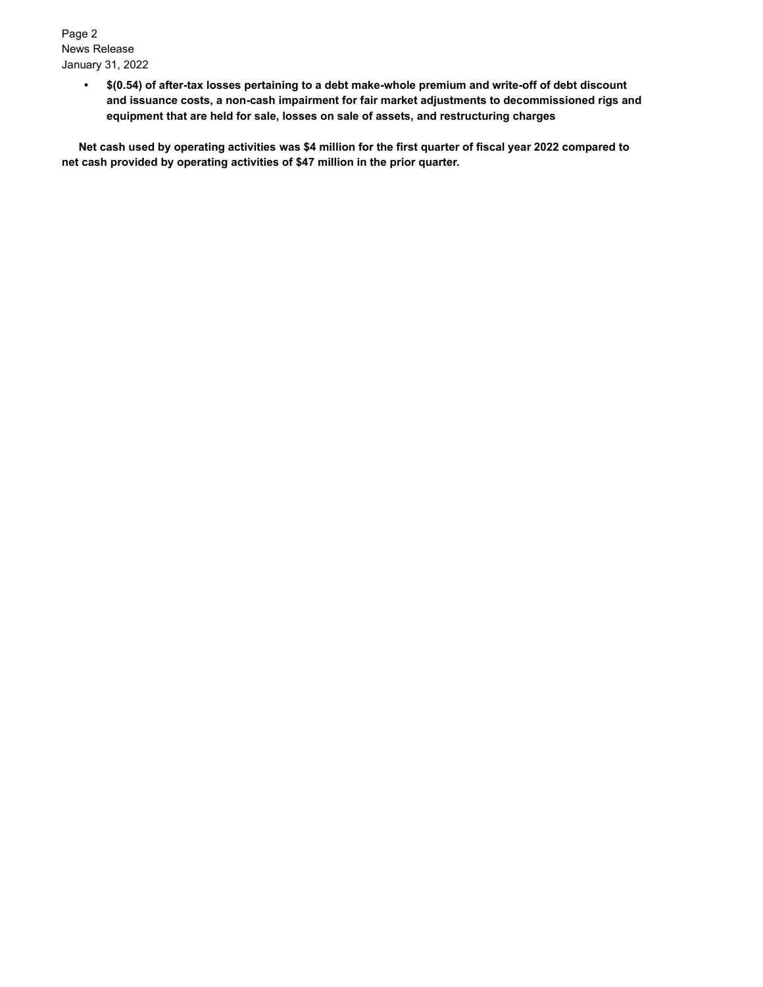Page 2 News Release January 31, 2022

> **• \$(0.54) of after-tax losses pertaining to a debt make-whole premium and write-off of debt discount and issuance costs, a non-cash impairment for fair market adjustments to decommissioned rigs and equipment that are held for sale, losses on sale of assets, and restructuring charges**

**Net cash used by operating activities was \$4 million for the first quarter of fiscal year 2022 compared to net cash provided by operating activities of \$47 million in the prior quarter.**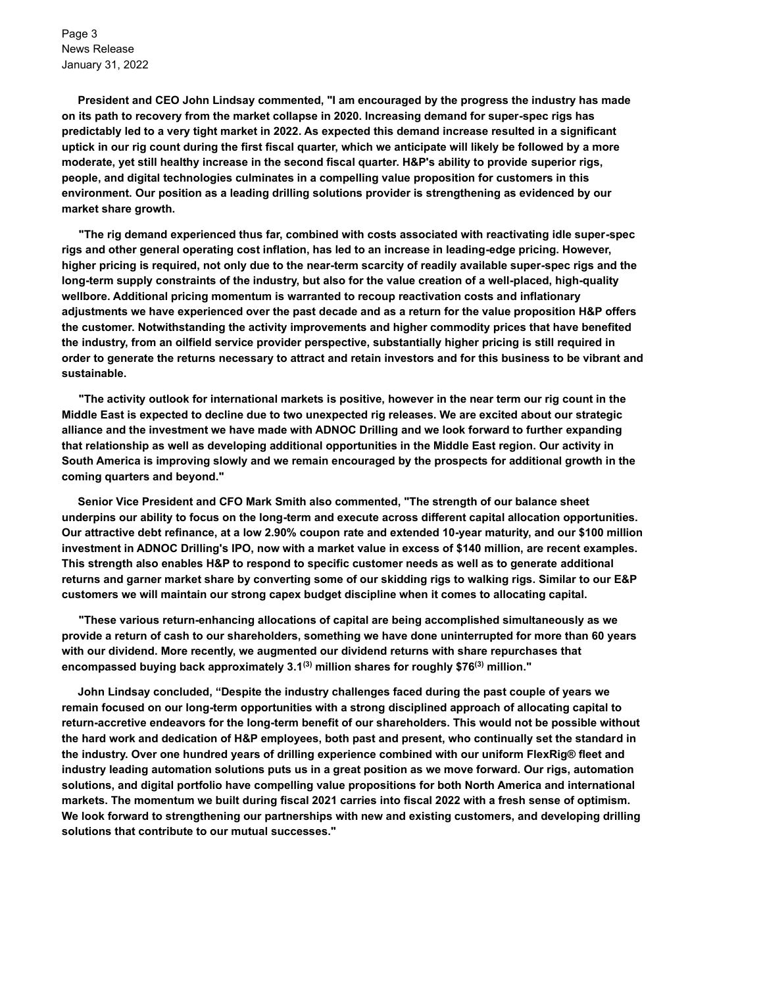Page 3 News Release January 31, 2022

**President and CEO John Lindsay commented, "I am encouraged by the progress the industry has made on its path to recovery from the market collapse in 2020. Increasing demand for super-spec rigs has predictably led to a very tight market in 2022. As expected this demand increase resulted in a significant uptick in our rig count during the first fiscal quarter, which we anticipate will likely be followed by a more moderate, yet still healthy increase in the second fiscal quarter. H&P's ability to provide superior rigs, people, and digital technologies culminates in a compelling value proposition for customers in this environment. Our position as a leading drilling solutions provider is strengthening as evidenced by our market share growth.** 

**"The rig demand experienced thus far, combined with costs associated with reactivating idle super-spec rigs and other general operating cost inflation, has led to an increase in leading-edge pricing. However, higher pricing is required, not only due to the near-term scarcity of readily available super-spec rigs and the long-term supply constraints of the industry, but also for the value creation of a well-placed, high-quality wellbore. Additional pricing momentum is warranted to recoup reactivation costs and inflationary adjustments we have experienced over the past decade and as a return for the value proposition H&P offers the customer. Notwithstanding the activity improvements and higher commodity prices that have benefited the industry, from an oilfield service provider perspective, substantially higher pricing is still required in order to generate the returns necessary to attract and retain investors and for this business to be vibrant and sustainable.** 

**"The activity outlook for international markets is positive, however in the near term our rig count in the Middle East is expected to decline due to two unexpected rig releases. We are excited about our strategic alliance and the investment we have made with ADNOC Drilling and we look forward to further expanding that relationship as well as developing additional opportunities in the Middle East region. Our activity in South America is improving slowly and we remain encouraged by the prospects for additional growth in the coming quarters and beyond."** 

**Senior Vice President and CFO Mark Smith also commented, "The strength of our balance sheet underpins our ability to focus on the long-term and execute across different capital allocation opportunities. Our attractive debt refinance, at a low 2.90% coupon rate and extended 10-year maturity, and our \$100 million investment in ADNOC Drilling's IPO, now with a market value in excess of \$140 million, are recent examples. This strength also enables H&P to respond to specific customer needs as well as to generate additional returns and garner market share by converting some of our skidding rigs to walking rigs. Similar to our E&P customers we will maintain our strong capex budget discipline when it comes to allocating capital.**

**"These various return-enhancing allocations of capital are being accomplished simultaneously as we provide a return of cash to our shareholders, something we have done uninterrupted for more than 60 years with our dividend. More recently, we augmented our dividend returns with share repurchases that encompassed buying back approximately 3.1(3) million shares for roughly \$76(3) million."**

**John Lindsay concluded, "Despite the industry challenges faced during the past couple of years we remain focused on our long-term opportunities with a strong disciplined approach of allocating capital to return-accretive endeavors for the long-term benefit of our shareholders. This would not be possible without the hard work and dedication of H&P employees, both past and present, who continually set the standard in the industry. Over one hundred years of drilling experience combined with our uniform FlexRig® fleet and industry leading automation solutions puts us in a great position as we move forward. Our rigs, automation solutions, and digital portfolio have compelling value propositions for both North America and international markets. The momentum we built during fiscal 2021 carries into fiscal 2022 with a fresh sense of optimism. We look forward to strengthening our partnerships with new and existing customers, and developing drilling solutions that contribute to our mutual successes."**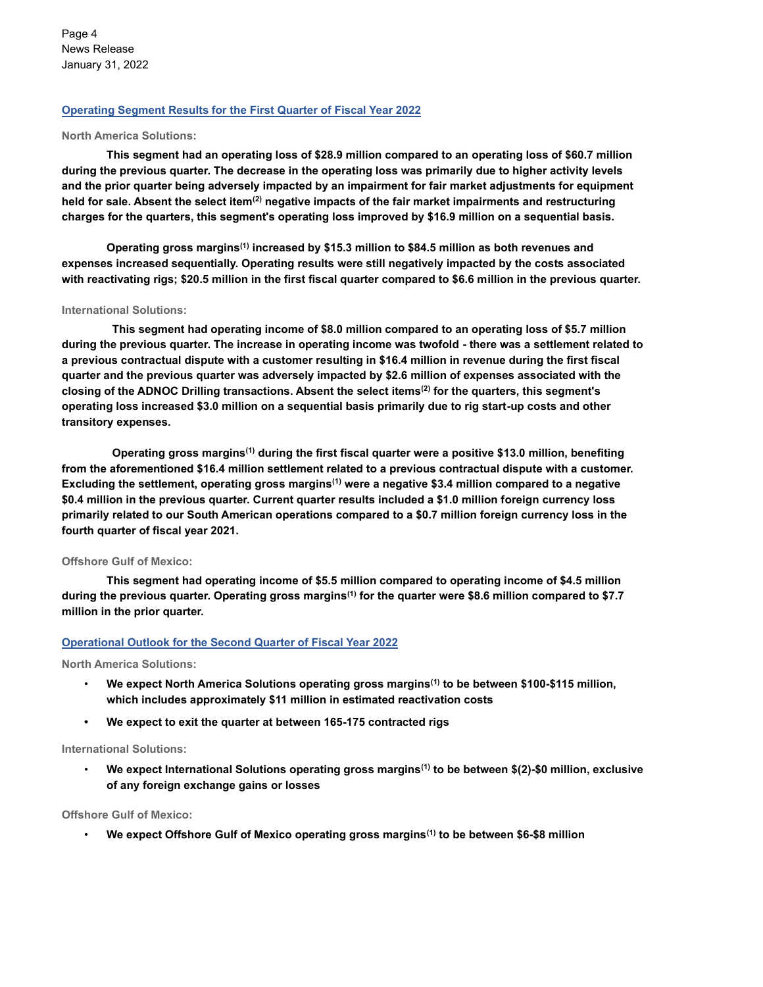Page 4 News Release January 31, 2022

### **Operating Segment Results for the First Quarter of Fiscal Year 2022**

#### **North America Solutions:**

**This segment had an operating loss of \$28.9 million compared to an operating loss of \$60.7 million during the previous quarter. The decrease in the operating loss was primarily due to higher activity levels and the prior quarter being adversely impacted by an impairment for fair market adjustments for equipment held for sale. Absent the select item(2) negative impacts of the fair market impairments and restructuring charges for the quarters, this segment's operating loss improved by \$16.9 million on a sequential basis.**

**Operating gross margins(1) increased by \$15.3 million to \$84.5 million as both revenues and expenses increased sequentially. Operating results were still negatively impacted by the costs associated with reactivating rigs; \$20.5 million in the first fiscal quarter compared to \$6.6 million in the previous quarter.** 

#### **International Solutions:**

**This segment had operating income of \$8.0 million compared to an operating loss of \$5.7 million during the previous quarter. The increase in operating income was twofold - there was a settlement related to a previous contractual dispute with a customer resulting in \$16.4 million in revenue during the first fiscal quarter and the previous quarter was adversely impacted by \$2.6 million of expenses associated with the closing of the ADNOC Drilling transactions. Absent the select items(2) for the quarters, this segment's operating loss increased \$3.0 million on a sequential basis primarily due to rig start-up costs and other transitory expenses.**

**Operating gross margins(1) during the first fiscal quarter were a positive \$13.0 million, benefiting from the aforementioned \$16.4 million settlement related to a previous contractual dispute with a customer. Excluding the settlement, operating gross margins(1) were a negative \$3.4 million compared to a negative \$0.4 million in the previous quarter. Current quarter results included a \$1.0 million foreign currency loss primarily related to our South American operations compared to a \$0.7 million foreign currency loss in the fourth quarter of fiscal year 2021.** 

#### **Offshore Gulf of Mexico:**

**This segment had operating income of \$5.5 million compared to operating income of \$4.5 million during the previous quarter. Operating gross margins(1) for the quarter were \$8.6 million compared to \$7.7 million in the prior quarter.** 

#### **Operational Outlook for the Second Quarter of Fiscal Year 2022**

**North America Solutions:**

- **We expect North America Solutions operating gross margins(1) to be between \$100-\$115 million, which includes approximately \$11 million in estimated reactivation costs**
- **• We expect to exit the quarter at between 165-175 contracted rigs**

#### **International Solutions:**

• **We expect International Solutions operating gross margins(1) to be between \$(2)-\$0 million, exclusive of any foreign exchange gains or losses**

**Offshore Gulf of Mexico:**

• **We expect Offshore Gulf of Mexico operating gross margins(1) to be between \$6-\$8 million**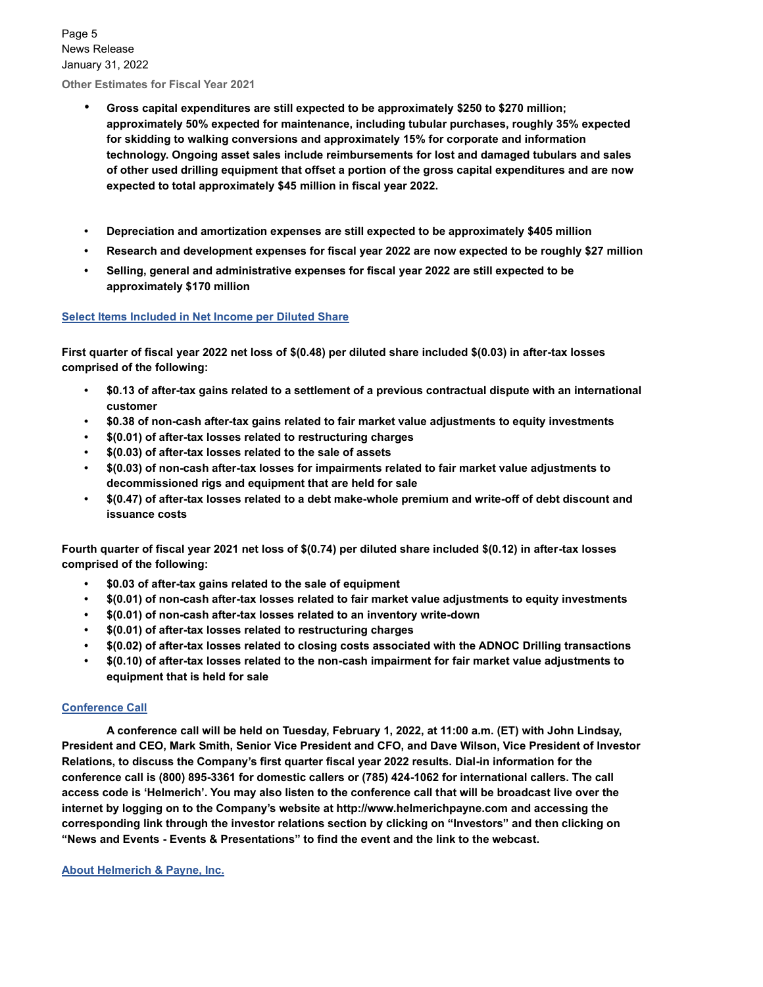Page 5 News Release January 31, 2022

**Other Estimates for Fiscal Year 2021**

- **Gross capital expenditures are still expected to be approximately \$250 to \$270 million; approximately 50% expected for maintenance, including tubular purchases, roughly 35% expected for skidding to walking conversions and approximately 15% for corporate and information technology. Ongoing asset sales include reimbursements for lost and damaged tubulars and sales of other used drilling equipment that offset a portion of the gross capital expenditures and are now expected to total approximately \$45 million in fiscal year 2022.**
- **• Depreciation and amortization expenses are still expected to be approximately \$405 million**
- **• Research and development expenses for fiscal year 2022 are now expected to be roughly \$27 million**
- **• Selling, general and administrative expenses for fiscal year 2022 are still expected to be approximately \$170 million**

#### **Select Items Included in Net Income per Diluted Share**

**First quarter of fiscal year 2022 net loss of \$(0.48) per diluted share included \$(0.03) in after-tax losses comprised of the following:**

- **• \$0.13 of after-tax gains related to a settlement of a previous contractual dispute with an international customer**
- **• \$0.38 of non-cash after-tax gains related to fair market value adjustments to equity investments**
- **• \$(0.01) of after-tax losses related to restructuring charges**
- **• \$(0.03) of after-tax losses related to the sale of assets**
- **• \$(0.03) of non-cash after-tax losses for impairments related to fair market value adjustments to decommissioned rigs and equipment that are held for sale**
- **• \$(0.47) of after-tax losses related to a debt make-whole premium and write-off of debt discount and issuance costs**

**Fourth quarter of fiscal year 2021 net loss of \$(0.74) per diluted share included \$(0.12) in after-tax losses comprised of the following:**

- **• \$0.03 of after-tax gains related to the sale of equipment**
- **• \$(0.01) of non-cash after-tax losses related to fair market value adjustments to equity investments**
- **• \$(0.01) of non-cash after-tax losses related to an inventory write-down**
- **• \$(0.01) of after-tax losses related to restructuring charges**
- **• \$(0.02) of after-tax losses related to closing costs associated with the ADNOC Drilling transactions**
- **• \$(0.10) of after-tax losses related to the non-cash impairment for fair market value adjustments to equipment that is held for sale**

### **Conference Call**

**A conference call will be held on Tuesday, February 1, 2022, at 11:00 a.m. (ET) with John Lindsay, President and CEO, Mark Smith, Senior Vice President and CFO, and Dave Wilson, Vice President of Investor Relations, to discuss the Company's first quarter fiscal year 2022 results. Dial-in information for the conference call is (800) 895-3361 for domestic callers or (785) 424-1062 for international callers. The call access code is 'Helmerich'. You may also listen to the conference call that will be broadcast live over the internet by logging on to the Company's website at http://www.helmerichpayne.com and accessing the corresponding link through the investor relations section by clicking on "Investors" and then clicking on "News and Events - Events & Presentations" to find the event and the link to the webcast.**

**About Helmerich & Payne, Inc.**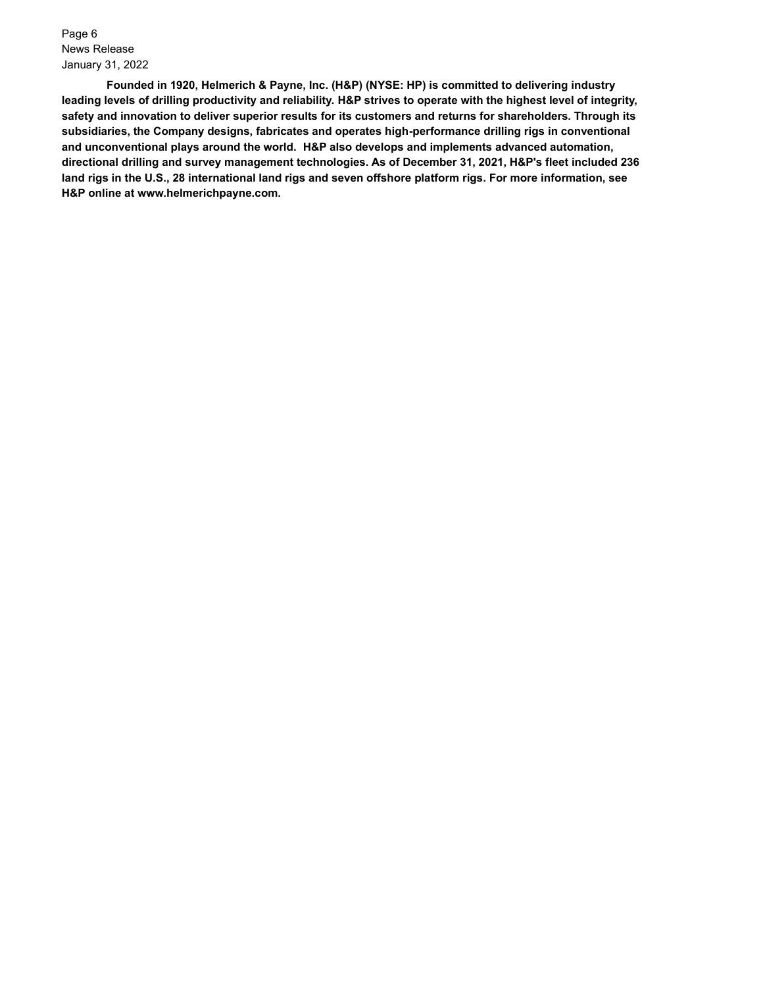Page 6 News Release January 31, 2022

**Founded in 1920, Helmerich & Payne, Inc. (H&P) (NYSE: HP) is committed to delivering industry leading levels of drilling productivity and reliability. H&P strives to operate with the highest level of integrity, safety and innovation to deliver superior results for its customers and returns for shareholders. Through its subsidiaries, the Company designs, fabricates and operates high-performance drilling rigs in conventional and unconventional plays around the world. H&P also develops and implements advanced automation, directional drilling and survey management technologies. As of December 31, 2021, H&P's fleet included 236 land rigs in the U.S., 28 international land rigs and seven offshore platform rigs. For more information, see H&P online at www.helmerichpayne.com.**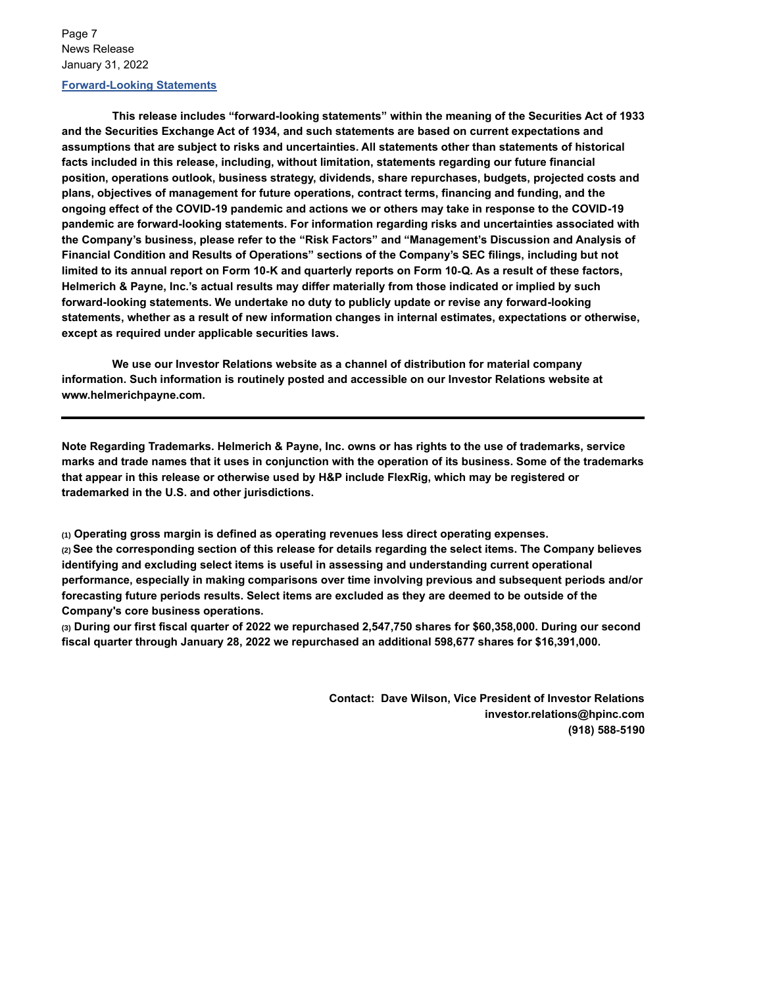Page 7 News Release January 31, 2022

### **Forward-Looking Statements**

**This release includes "forward-looking statements" within the meaning of the Securities Act of 1933 and the Securities Exchange Act of 1934, and such statements are based on current expectations and assumptions that are subject to risks and uncertainties. All statements other than statements of historical facts included in this release, including, without limitation, statements regarding our future financial position, operations outlook, business strategy, dividends, share repurchases, budgets, projected costs and plans, objectives of management for future operations, contract terms, financing and funding, and the ongoing effect of the COVID-19 pandemic and actions we or others may take in response to the COVID-19 pandemic are forward-looking statements. For information regarding risks and uncertainties associated with the Company's business, please refer to the "Risk Factors" and "Management's Discussion and Analysis of Financial Condition and Results of Operations" sections of the Company's SEC filings, including but not limited to its annual report on Form 10**‑**K and quarterly reports on Form 10**‑**Q. As a result of these factors, Helmerich & Payne, Inc.'s actual results may differ materially from those indicated or implied by such forward-looking statements. We undertake no duty to publicly update or revise any forward-looking statements, whether as a result of new information changes in internal estimates, expectations or otherwise, except as required under applicable securities laws.**

**We use our Investor Relations website as a channel of distribution for material company information. Such information is routinely posted and accessible on our Investor Relations website at www.helmerichpayne.com.** 

**Note Regarding Trademarks. Helmerich & Payne, Inc. owns or has rights to the use of trademarks, service marks and trade names that it uses in conjunction with the operation of its business. Some of the trademarks that appear in this release or otherwise used by H&P include FlexRig, which may be registered or trademarked in the U.S. and other jurisdictions.**

**(1) Operating gross margin is defined as operating revenues less direct operating expenses. (2) See the corresponding section of this release for details regarding the select items. The Company believes identifying and excluding select items is useful in assessing and understanding current operational performance, especially in making comparisons over time involving previous and subsequent periods and/or forecasting future periods results. Select items are excluded as they are deemed to be outside of the Company's core business operations.** 

**(3) During our first fiscal quarter of 2022 we repurchased 2,547,750 shares for \$60,358,000. During our second fiscal quarter through January 28, 2022 we repurchased an additional 598,677 shares for \$16,391,000.**

> **Contact: Dave Wilson, Vice President of Investor Relations investor.relations@hpinc.com (918) 588**‑**5190**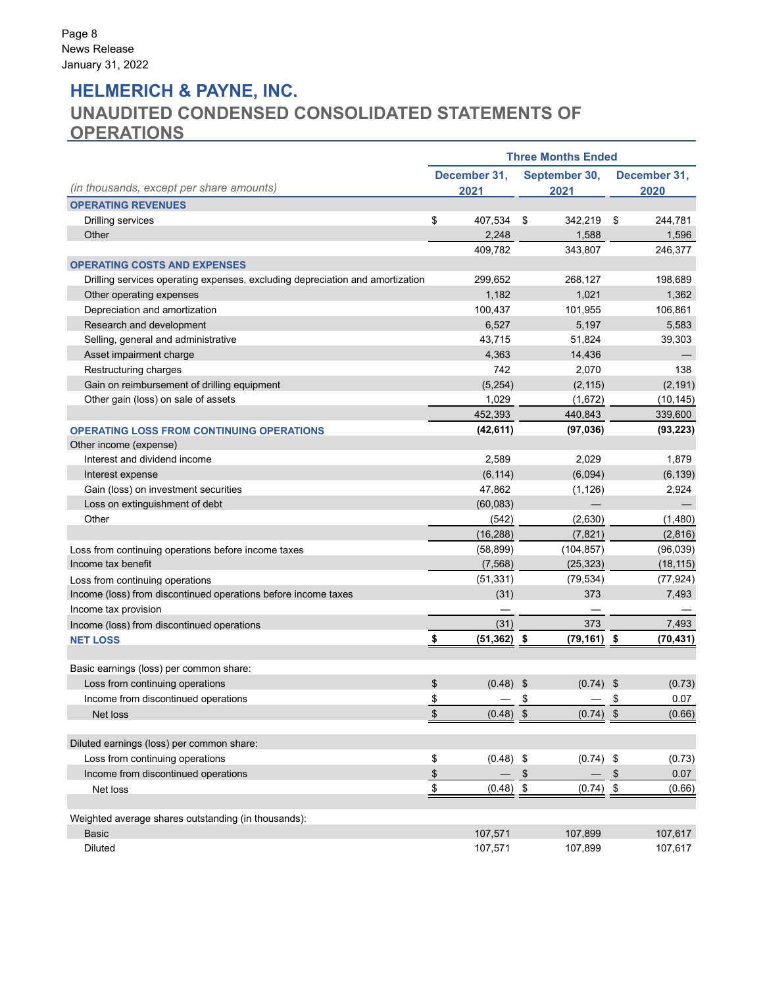## **HELMERICH & PAYNE, INC.**

## **UNAUDITED CONDENSED CONSOLIDATED STATEMENTS OF OPERATIONS**

|                                                                               | <b>Three Months Ended</b> |                      |                       |                |                     |                      |  |  |  |  |
|-------------------------------------------------------------------------------|---------------------------|----------------------|-----------------------|----------------|---------------------|----------------------|--|--|--|--|
| (in thousands, except per share amounts)                                      |                           | December 31,<br>2021 | September 30,<br>2021 |                |                     | December 31,<br>2020 |  |  |  |  |
| <b>OPERATING REVENUES</b>                                                     |                           |                      |                       |                |                     |                      |  |  |  |  |
| <b>Drilling services</b>                                                      | \$                        | 407,534              | \$                    | 342,219        | \$                  | 244,781              |  |  |  |  |
| Other                                                                         |                           | 2,248                |                       | 1,588          |                     | 1,596                |  |  |  |  |
|                                                                               |                           | 409,782              |                       | 343,807        |                     | 246,377              |  |  |  |  |
| <b>OPERATING COSTS AND EXPENSES</b>                                           |                           |                      |                       |                |                     |                      |  |  |  |  |
| Drilling services operating expenses, excluding depreciation and amortization |                           | 299,652              |                       | 268,127        |                     | 198,689              |  |  |  |  |
| Other operating expenses                                                      |                           | 1,182                |                       | 1,021          |                     | 1,362                |  |  |  |  |
| Depreciation and amortization                                                 |                           | 100,437              |                       | 101,955        |                     | 106,861              |  |  |  |  |
| Research and development                                                      |                           | 6,527                |                       | 5,197          |                     | 5,583                |  |  |  |  |
| Selling, general and administrative                                           |                           | 43,715               |                       | 51,824         |                     | 39,303               |  |  |  |  |
| Asset impairment charge                                                       |                           | 4,363                |                       | 14,436         |                     |                      |  |  |  |  |
| Restructuring charges                                                         |                           | 742                  |                       | 2,070          |                     | 138                  |  |  |  |  |
| Gain on reimbursement of drilling equipment                                   |                           | (5, 254)             |                       | (2, 115)       |                     | (2, 191)             |  |  |  |  |
| Other gain (loss) on sale of assets                                           |                           | 1,029                |                       | (1,672)        |                     | (10, 145)            |  |  |  |  |
|                                                                               |                           | 452,393              |                       | 440,843        |                     | 339,600              |  |  |  |  |
| <b>OPERATING LOSS FROM CONTINUING OPERATIONS</b>                              |                           | (42, 611)            |                       | (97, 036)      |                     | (93, 223)            |  |  |  |  |
| Other income (expense)                                                        |                           |                      |                       |                |                     |                      |  |  |  |  |
| Interest and dividend income                                                  |                           | 2,589                |                       | 2,029          |                     | 1,879                |  |  |  |  |
| Interest expense                                                              |                           | (6, 114)             |                       | (6,094)        |                     | (6, 139)             |  |  |  |  |
| Gain (loss) on investment securities                                          |                           | 47,862               |                       | (1, 126)       |                     | 2,924                |  |  |  |  |
| Loss on extinguishment of debt                                                |                           | (60, 083)            |                       |                |                     |                      |  |  |  |  |
| Other                                                                         |                           | (542)                |                       | (2,630)        |                     | (1,480)              |  |  |  |  |
|                                                                               |                           | (16, 288)            |                       | (7, 821)       |                     | (2,816)              |  |  |  |  |
| Loss from continuing operations before income taxes                           |                           | (58, 899)            |                       | (104, 857)     |                     | (96, 039)            |  |  |  |  |
| Income tax benefit                                                            |                           | (7, 568)             |                       | (25, 323)      |                     | (18, 115)            |  |  |  |  |
| Loss from continuing operations                                               |                           | (51, 331)            |                       | (79, 534)      |                     | (77, 924)            |  |  |  |  |
| Income (loss) from discontinued operations before income taxes                |                           | (31)                 |                       | 373            |                     | 7,493                |  |  |  |  |
| Income tax provision                                                          |                           |                      |                       |                |                     |                      |  |  |  |  |
| Income (loss) from discontinued operations                                    |                           | (31)                 |                       | 373            |                     | 7,493                |  |  |  |  |
| <b>NET LOSS</b>                                                               | \$                        | $(51, 362)$ \$       |                       | $(79, 161)$ \$ |                     | (70, 431)            |  |  |  |  |
| Basic earnings (loss) per common share:                                       |                           |                      |                       |                |                     |                      |  |  |  |  |
| Loss from continuing operations                                               | \$                        | (0.48)               | \$                    | $(0.74)$ \$    |                     | (0.73)               |  |  |  |  |
| Income from discontinued operations                                           | \$                        |                      | \$                    |                | \$                  | 0.07                 |  |  |  |  |
| Net loss                                                                      | $\sqrt[6]{\frac{1}{2}}$   | $(0.48)$ \$          |                       | $(0.74)$ \$    |                     | (0.66)               |  |  |  |  |
| Diluted earnings (loss) per common share:                                     |                           |                      |                       |                |                     |                      |  |  |  |  |
| Loss from continuing operations                                               | \$                        | $(0.48)$ \$          |                       | $(0.74)$ \$    |                     | (0.73)               |  |  |  |  |
| Income from discontinued operations                                           | \$                        |                      | \$                    |                | $\boldsymbol{\$}$   | 0.07                 |  |  |  |  |
| Net loss                                                                      | \$                        | $(0.48)$ \$          |                       | (0.74)         | $\pmb{\mathsf{\$}}$ | (0.66)               |  |  |  |  |
| Weighted average shares outstanding (in thousands):                           |                           |                      |                       |                |                     |                      |  |  |  |  |
| <b>Basic</b>                                                                  |                           | 107,571              |                       | 107,899        |                     | 107,617              |  |  |  |  |
| <b>Diluted</b>                                                                |                           | 107,571              |                       | 107,899        |                     | 107,617              |  |  |  |  |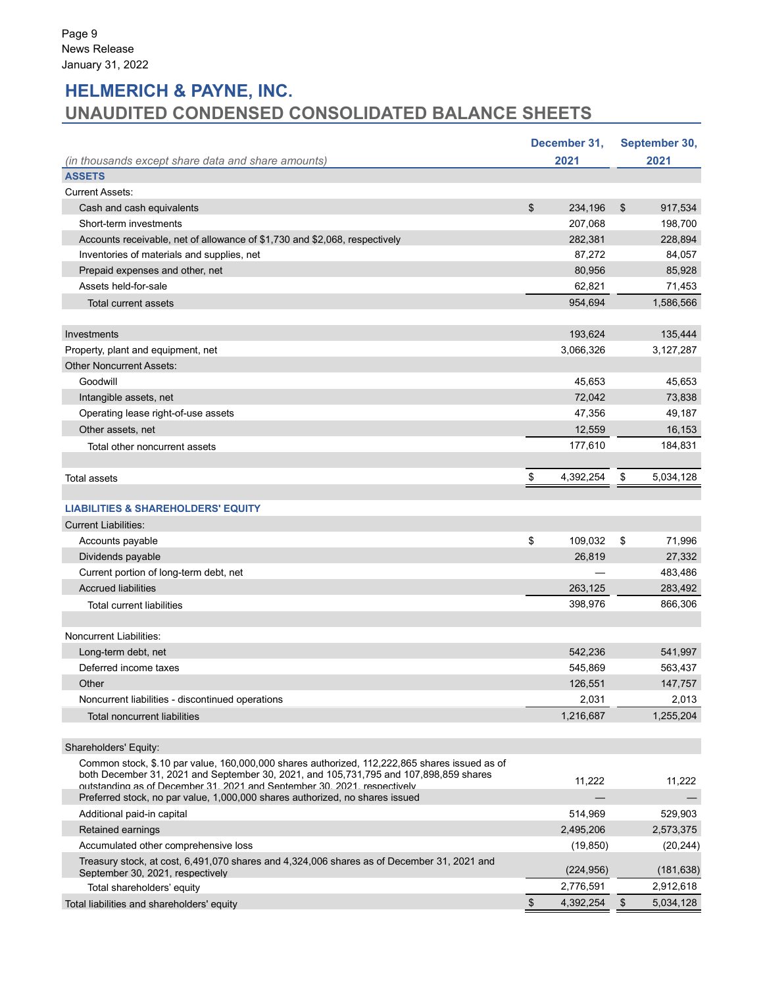## **HELMERICH & PAYNE, INC. UNAUDITED CONDENSED CONSOLIDATED BALANCE SHEETS**

|                                                                                                                                |               | December 31, | September 30,   |
|--------------------------------------------------------------------------------------------------------------------------------|---------------|--------------|-----------------|
| (in thousands except share data and share amounts)                                                                             |               | 2021         | 2021            |
| <b>ASSETS</b>                                                                                                                  |               |              |                 |
| <b>Current Assets:</b>                                                                                                         |               |              |                 |
| Cash and cash equivalents                                                                                                      | \$            | 234,196      | \$<br>917,534   |
| Short-term investments                                                                                                         |               | 207,068      | 198,700         |
| Accounts receivable, net of allowance of \$1,730 and \$2,068, respectively                                                     |               | 282,381      | 228,894         |
| Inventories of materials and supplies, net                                                                                     |               | 87,272       | 84,057          |
| Prepaid expenses and other, net                                                                                                |               | 80,956       | 85,928          |
| Assets held-for-sale                                                                                                           |               | 62,821       | 71,453          |
| <b>Total current assets</b>                                                                                                    |               | 954,694      | 1,586,566       |
|                                                                                                                                |               |              |                 |
| Investments                                                                                                                    |               | 193,624      | 135,444         |
| Property, plant and equipment, net                                                                                             |               | 3,066,326    | 3,127,287       |
| <b>Other Noncurrent Assets:</b>                                                                                                |               |              |                 |
| Goodwill                                                                                                                       |               | 45,653       | 45,653          |
| Intangible assets, net                                                                                                         |               | 72,042       | 73,838          |
| Operating lease right-of-use assets                                                                                            |               | 47,356       | 49,187          |
| Other assets, net                                                                                                              |               | 12,559       | 16,153          |
| Total other noncurrent assets                                                                                                  |               | 177.610      | 184,831         |
|                                                                                                                                |               |              |                 |
| Total assets                                                                                                                   | \$            | 4,392,254    | \$<br>5,034,128 |
|                                                                                                                                |               |              |                 |
| <b>LIABILITIES &amp; SHAREHOLDERS' EQUITY</b>                                                                                  |               |              |                 |
| <b>Current Liabilities:</b>                                                                                                    |               |              |                 |
| Accounts payable                                                                                                               | \$            | 109,032      | \$<br>71,996    |
| Dividends payable                                                                                                              |               | 26,819       | 27,332          |
| Current portion of long-term debt, net                                                                                         |               |              | 483,486         |
| <b>Accrued liabilities</b>                                                                                                     |               | 263,125      | 283,492         |
| Total current liabilities                                                                                                      |               | 398,976      | 866,306         |
|                                                                                                                                |               |              |                 |
| Noncurrent Liabilities:                                                                                                        |               |              |                 |
| Long-term debt, net                                                                                                            |               | 542.236      | 541,997         |
| Deferred income taxes                                                                                                          |               | 545,869      | 563,437         |
| Other                                                                                                                          |               | 126,551      | 147,757         |
| Noncurrent liabilities - discontinued operations                                                                               |               | 2,031        | 2,013           |
| <b>Total noncurrent liabilities</b>                                                                                            |               | 1,216,687    | 1,255,204       |
|                                                                                                                                |               |              |                 |
| Shareholders' Equity:                                                                                                          |               |              |                 |
| Common stock, \$.10 par value, 160,000,000 shares authorized, 112,222,865 shares issued as of                                  |               |              |                 |
| both December 31, 2021 and September 30, 2021, and 105,731,795 and 107,898,859 shares                                          |               | 11,222       | 11,222          |
| outstanding as of December 31, 2021 and September 30, 2021, respectively                                                       |               |              |                 |
| Preferred stock, no par value, 1,000,000 shares authorized, no shares issued                                                   |               |              |                 |
| Additional paid-in capital                                                                                                     |               | 514,969      | 529,903         |
| Retained earnings                                                                                                              |               | 2,495,206    | 2,573,375       |
| Accumulated other comprehensive loss                                                                                           |               | (19, 850)    | (20, 244)       |
| Treasury stock, at cost, 6,491,070 shares and 4,324,006 shares as of December 31, 2021 and<br>September 30, 2021, respectively |               | (224, 956)   | (181, 638)      |
| Total shareholders' equity                                                                                                     |               | 2,776,591    | 2,912,618       |
| Total liabilities and shareholders' equity                                                                                     | $\frac{3}{2}$ | 4,392,254    | \$<br>5,034,128 |
|                                                                                                                                |               |              |                 |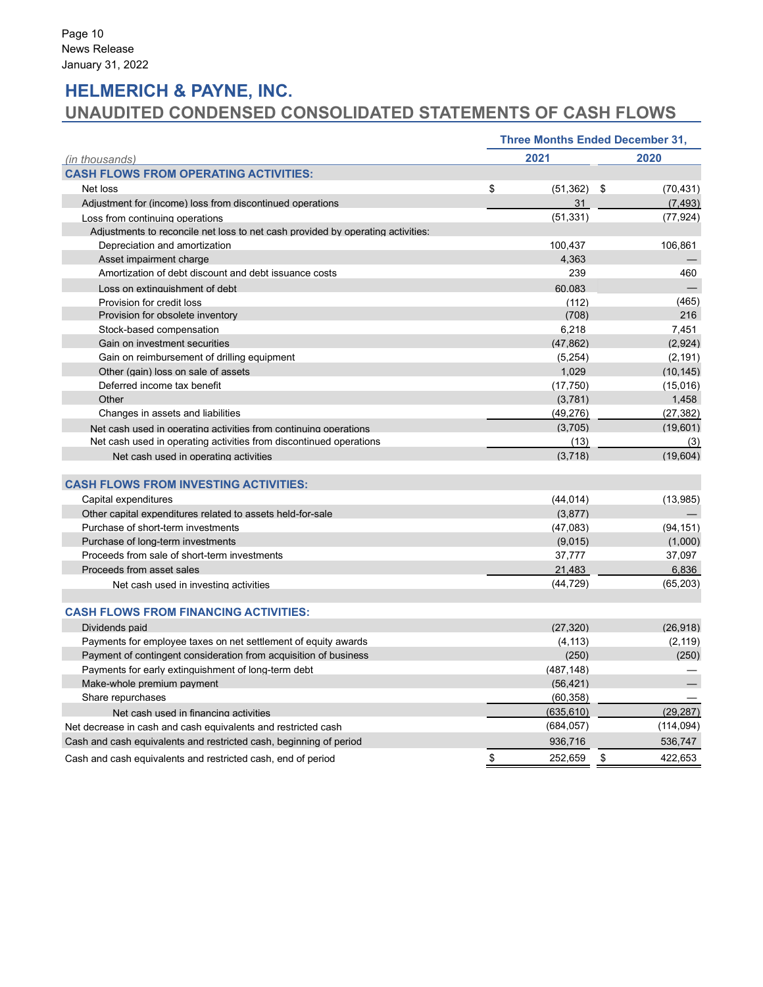## **HELMERICH & PAYNE, INC. UNAUDITED CONDENSED CONSOLIDATED STATEMENTS OF CASH FLOWS**

|                                                                                 | <b>Three Months Ended December 31,</b> |               |
|---------------------------------------------------------------------------------|----------------------------------------|---------------|
| (in thousands)                                                                  | 2021                                   | 2020          |
| <b>CASH FLOWS FROM OPERATING ACTIVITIES:</b>                                    |                                        |               |
| Net loss                                                                        | \$<br>$(51,362)$ \$                    | (70, 431)     |
| Adjustment for (income) loss from discontinued operations                       | 31                                     | (7, 493)      |
| Loss from continuing operations                                                 | (51, 331)                              | (77, 924)     |
| Adjustments to reconcile net loss to net cash provided by operating activities: |                                        |               |
| Depreciation and amortization                                                   | 100,437                                | 106,861       |
| Asset impairment charge                                                         | 4,363                                  |               |
| Amortization of debt discount and debt issuance costs                           | 239                                    | 460           |
| Loss on extinguishment of debt                                                  | 60.083                                 |               |
| Provision for credit loss                                                       | (112)                                  | (465)         |
| Provision for obsolete inventory                                                | (708)                                  | 216           |
| Stock-based compensation                                                        | 6,218                                  | 7.451         |
| Gain on investment securities                                                   | (47, 862)                              | (2,924)       |
| Gain on reimbursement of drilling equipment                                     | (5,254)                                | (2, 191)      |
| Other (gain) loss on sale of assets                                             | 1,029                                  | (10, 145)     |
| Deferred income tax benefit                                                     | (17, 750)                              | (15,016)      |
| Other                                                                           | (3,781)                                | 1,458         |
| Changes in assets and liabilities                                               | (49, 276)                              | (27, 382)     |
| Net cash used in operating activities from continuing operations                | (3,705)                                | (19.601)      |
| Net cash used in operating activities from discontinued operations              | (13)                                   | (3)           |
| Net cash used in operating activities                                           | (3,718)                                | (19.604)      |
| <b>CASH FLOWS FROM INVESTING ACTIVITIES:</b>                                    |                                        |               |
| Capital expenditures                                                            | (44, 014)                              | (13,985)      |
| Other capital expenditures related to assets held-for-sale                      | (3,877)                                |               |
| Purchase of short-term investments                                              | (47,083)                               | (94, 151)     |
| Purchase of long-term investments                                               | (9,015)                                | (1,000)       |
| Proceeds from sale of short-term investments                                    | 37,777                                 | 37,097        |
| Proceeds from asset sales                                                       | 21,483                                 | 6,836         |
| Net cash used in investing activities                                           | (44, 729)                              | (65, 203)     |
| <b>CASH FLOWS FROM FINANCING ACTIVITIES:</b>                                    |                                        |               |
| Dividends paid                                                                  | (27, 320)                              | (26,918)      |
| Payments for employee taxes on net settlement of equity awards                  | (4, 113)                               | (2, 119)      |
| Payment of contingent consideration from acquisition of business                | (250)                                  | (250)         |
| Payments for early extinguishment of long-term debt                             | (487, 148)                             |               |
| Make-whole premium payment                                                      | (56, 421)                              |               |
| Share repurchases                                                               | (60, 358)                              |               |
| Net cash used in financing activities                                           | (635, 610)                             | (29, 287)     |
| Net decrease in cash and cash equivalents and restricted cash                   | (684, 057)                             | (114, 094)    |
| Cash and cash equivalents and restricted cash, beginning of period              | 936,716                                | 536,747       |
| Cash and cash equivalents and restricted cash, end of period                    | \$<br>252.659                          | \$<br>422,653 |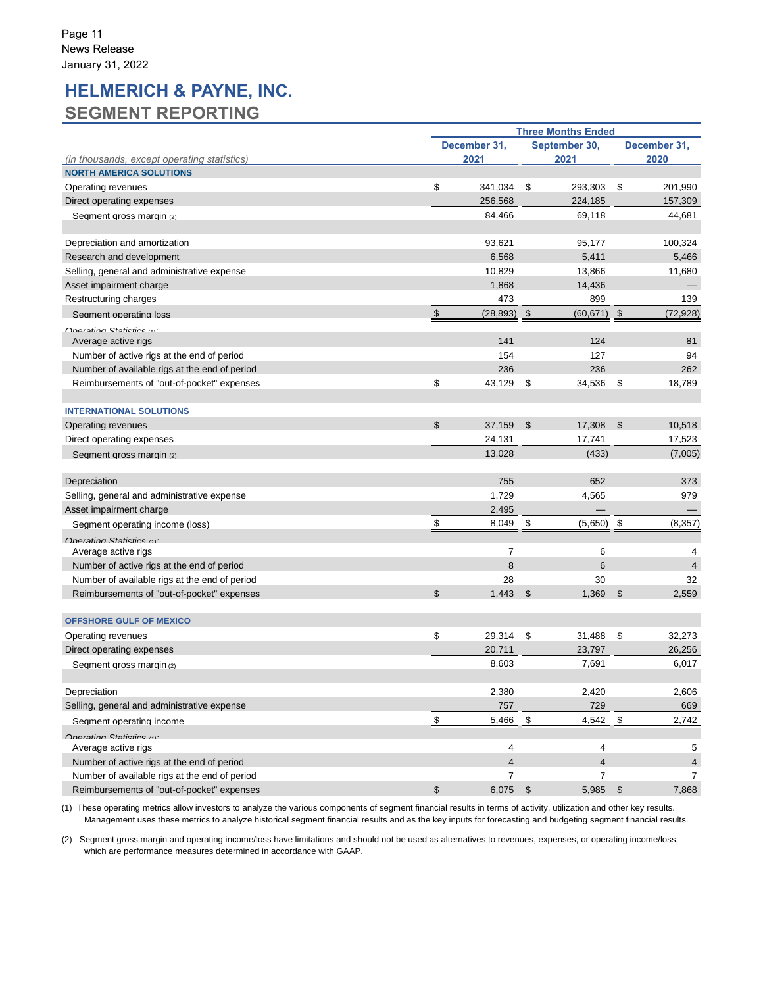## **HELMERICH & PAYNE, INC. SEGMENT REPORTING**

|                                                  |                         | <b>Three Months Ended</b> |    |                |      |                |  |  |
|--------------------------------------------------|-------------------------|---------------------------|----|----------------|------|----------------|--|--|
|                                                  | December 31,            |                           |    |                |      |                |  |  |
| (in thousands, except operating statistics)      |                         | 2021                      |    | 2021           | 2020 |                |  |  |
| <b>NORTH AMERICA SOLUTIONS</b>                   |                         |                           |    |                |      |                |  |  |
| Operating revenues                               | \$                      | 341,034                   | \$ | 293,303        | \$   | 201,990        |  |  |
| Direct operating expenses                        |                         | 256,568                   |    | 224,185        |      | 157,309        |  |  |
| Segment gross margin (2)                         |                         | 84,466                    |    | 69,118         |      | 44,681         |  |  |
| Depreciation and amortization                    |                         | 93,621                    |    | 95,177         |      | 100,324        |  |  |
| Research and development                         |                         | 6,568                     |    | 5,411          |      | 5,466          |  |  |
| Selling, general and administrative expense      |                         | 10,829                    |    | 13,866         |      | 11,680         |  |  |
| Asset impairment charge                          |                         | 1,868                     |    | 14,436         |      |                |  |  |
| Restructuring charges                            |                         | 473                       |    | 899            |      | 139            |  |  |
| Segment operating loss                           | $\sqrt[6]{\frac{1}{2}}$ | $(28, 893)$ \$            |    | $(60, 671)$ \$ |      | (72, 928)      |  |  |
| Onerating Statistics (4)*<br>Average active rigs |                         | 141                       |    | 124            |      | 81             |  |  |
| Number of active rigs at the end of period       |                         | 154                       |    | 127            |      | 94             |  |  |
| Number of available rigs at the end of period    |                         | 236                       |    | 236            |      | 262            |  |  |
| Reimbursements of "out-of-pocket" expenses       | \$                      | 43,129                    | \$ | 34,536         | \$   | 18,789         |  |  |
|                                                  |                         |                           |    |                |      |                |  |  |
| <b>INTERNATIONAL SOLUTIONS</b>                   |                         |                           |    |                |      |                |  |  |
| Operating revenues                               | \$                      | 37,159                    | \$ | 17,308         | - \$ | 10,518         |  |  |
| Direct operating expenses                        |                         | 24,131                    |    | 17,741         |      | 17,523         |  |  |
| Segment gross margin (2)                         |                         | 13,028                    |    | (433)          |      | (7,005)        |  |  |
| Depreciation                                     |                         | 755                       |    | 652            |      | 373            |  |  |
| Selling, general and administrative expense      |                         | 1,729                     |    | 4,565          |      | 979            |  |  |
| Asset impairment charge                          |                         | 2,495                     |    |                |      |                |  |  |
| Segment operating income (loss)                  |                         | 8,049                     | \$ | (5,650)        | \$   | (8, 357)       |  |  |
| Onarating Statistics (4)                         |                         |                           |    |                |      |                |  |  |
| Average active rigs                              |                         | 7                         |    | 6              |      | 4              |  |  |
| Number of active rigs at the end of period       |                         | 8                         |    | 6              |      | $\overline{4}$ |  |  |
| Number of available rigs at the end of period    |                         | 28                        |    | 30             |      | 32             |  |  |
| Reimbursements of "out-of-pocket" expenses       | $\mathfrak{L}$          | 1,443                     | \$ | 1,369          | - \$ | 2,559          |  |  |
| <b>OFFSHORE GULF OF MEXICO</b>                   |                         |                           |    |                |      |                |  |  |
| Operating revenues                               | \$                      | 29,314                    | \$ | 31,488         | \$   | 32,273         |  |  |
| Direct operating expenses                        |                         | 20,711                    |    | 23,797         |      | 26,256         |  |  |
| Seament aross marain (2)                         |                         | 8,603                     |    | 7,691          |      | 6,017          |  |  |
| Depreciation                                     |                         | 2,380                     |    | 2,420          |      | 2,606          |  |  |
| Selling, general and administrative expense      |                         | 757                       |    | 729            |      | 669            |  |  |
| Segment operating income                         | <u>\$</u>               | 5,466                     | \$ | 4,542          | \$   | 2,742          |  |  |
| Onarating Statistics (4)*                        |                         |                           |    |                |      |                |  |  |
| Average active rigs                              |                         | 4                         |    | 4              |      | 5              |  |  |
| Number of active rigs at the end of period       |                         | $\overline{4}$            |    | $\overline{4}$ |      | 4              |  |  |
| Number of available rigs at the end of period    |                         | $\overline{7}$            |    | $\overline{7}$ |      | 7              |  |  |
| Reimbursements of "out-of-pocket" expenses       | $\mathfrak{S}$          | $6,075$ \$                |    | 5,985 \$       |      | 7,868          |  |  |

(1) These operating metrics allow investors to analyze the various components of segment financial results in terms of activity, utilization and other key results. Management uses these metrics to analyze historical segment financial results and as the key inputs for forecasting and budgeting segment financial results.

(2) Segment gross margin and operating income/loss have limitations and should not be used as alternatives to revenues, expenses, or operating income/loss, which are performance measures determined in accordance with GAAP.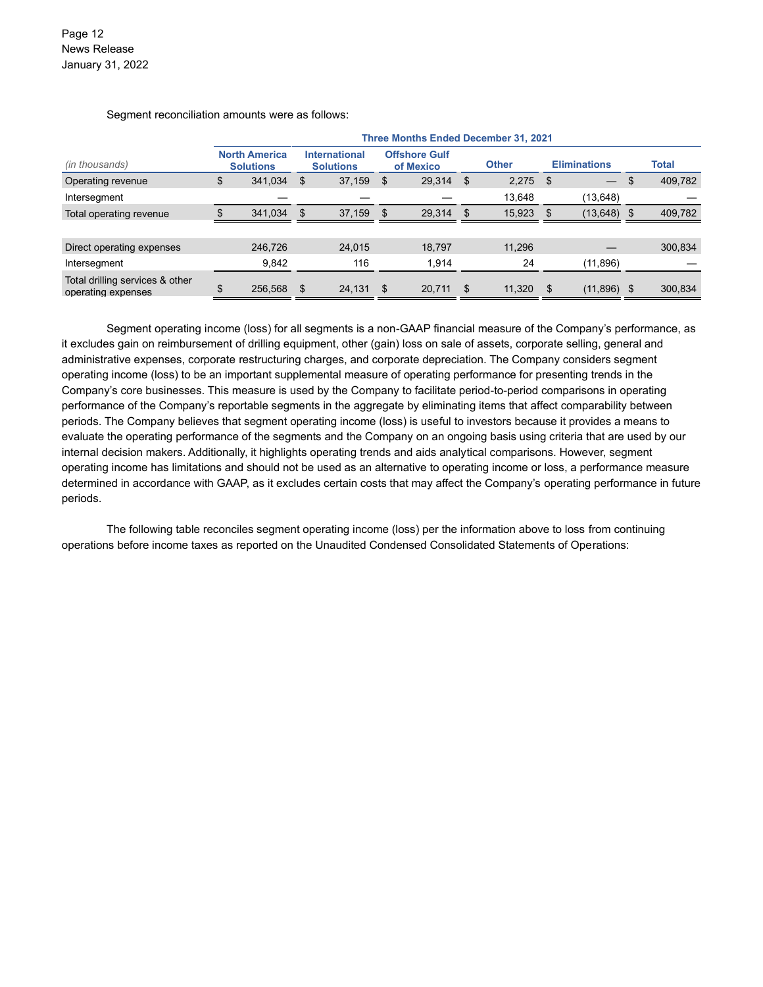Segment reconciliation amounts were as follows:

|                                                       | <b>Three Months Ended December 31, 2021</b> |                                          |     |                                          |      |                                   |              |            |              |                          |      |         |  |  |  |  |  |  |  |  |  |  |  |  |  |  |  |  |  |  |  |  |  |  |  |  |  |  |  |  |  |  |  |  |  |  |  |  |  |  |  |  |  |  |  |  |  |  |  |  |  |  |  |  |  |  |                     |  |  |              |
|-------------------------------------------------------|---------------------------------------------|------------------------------------------|-----|------------------------------------------|------|-----------------------------------|--------------|------------|--------------|--------------------------|------|---------|--|--|--|--|--|--|--|--|--|--|--|--|--|--|--|--|--|--|--|--|--|--|--|--|--|--|--|--|--|--|--|--|--|--|--|--|--|--|--|--|--|--|--|--|--|--|--|--|--|--|--|--|--|--|---------------------|--|--|--------------|
| (in thousands)                                        |                                             | <b>North America</b><br><b>Solutions</b> |     | <b>International</b><br><b>Solutions</b> |      | <b>Offshore Gulf</b><br>of Mexico | <b>Other</b> |            |              |                          |      |         |  |  |  |  |  |  |  |  |  |  |  |  |  |  |  |  |  |  |  |  |  |  |  |  |  |  |  |  |  |  |  |  |  |  |  |  |  |  |  |  |  |  |  |  |  |  |  |  |  |  |  |  |  |  | <b>Eliminations</b> |  |  | <b>Total</b> |
| Operating revenue                                     | \$                                          | 341.034                                  | S   | 37,159                                   | \$   | 29,314                            | \$           | $2,275$ \$ |              | $\overline{\phantom{0}}$ | - \$ | 409,782 |  |  |  |  |  |  |  |  |  |  |  |  |  |  |  |  |  |  |  |  |  |  |  |  |  |  |  |  |  |  |  |  |  |  |  |  |  |  |  |  |  |  |  |  |  |  |  |  |  |  |  |  |  |  |                     |  |  |              |
| Intersegment                                          |                                             |                                          |     |                                          |      |                                   |              | 13,648     |              | (13, 648)                |      |         |  |  |  |  |  |  |  |  |  |  |  |  |  |  |  |  |  |  |  |  |  |  |  |  |  |  |  |  |  |  |  |  |  |  |  |  |  |  |  |  |  |  |  |  |  |  |  |  |  |  |  |  |  |  |                     |  |  |              |
| Total operating revenue                               |                                             | 341.034                                  | \$  | 37,159                                   | - \$ | 29,314                            | \$           | 15,923     | $\mathsf{S}$ | $(13, 648)$ \$           |      | 409,782 |  |  |  |  |  |  |  |  |  |  |  |  |  |  |  |  |  |  |  |  |  |  |  |  |  |  |  |  |  |  |  |  |  |  |  |  |  |  |  |  |  |  |  |  |  |  |  |  |  |  |  |  |  |  |                     |  |  |              |
|                                                       |                                             |                                          |     |                                          |      |                                   |              |            |              |                          |      |         |  |  |  |  |  |  |  |  |  |  |  |  |  |  |  |  |  |  |  |  |  |  |  |  |  |  |  |  |  |  |  |  |  |  |  |  |  |  |  |  |  |  |  |  |  |  |  |  |  |  |  |  |  |  |                     |  |  |              |
| Direct operating expenses                             |                                             | 246,726                                  |     | 24,015                                   |      | 18,797                            |              | 11,296     |              |                          |      | 300,834 |  |  |  |  |  |  |  |  |  |  |  |  |  |  |  |  |  |  |  |  |  |  |  |  |  |  |  |  |  |  |  |  |  |  |  |  |  |  |  |  |  |  |  |  |  |  |  |  |  |  |  |  |  |  |                     |  |  |              |
| Intersegment                                          |                                             | 9,842                                    |     | 116                                      |      | 1.914                             |              | 24         |              | (11, 896)                |      |         |  |  |  |  |  |  |  |  |  |  |  |  |  |  |  |  |  |  |  |  |  |  |  |  |  |  |  |  |  |  |  |  |  |  |  |  |  |  |  |  |  |  |  |  |  |  |  |  |  |  |  |  |  |  |                     |  |  |              |
| Total drilling services & other<br>operating expenses | \$.                                         | 256,568                                  | \$. | 24,131                                   | -\$  | 20,711                            | \$           | 11,320     |              | $(11,896)$ \$            |      | 300,834 |  |  |  |  |  |  |  |  |  |  |  |  |  |  |  |  |  |  |  |  |  |  |  |  |  |  |  |  |  |  |  |  |  |  |  |  |  |  |  |  |  |  |  |  |  |  |  |  |  |  |  |  |  |  |                     |  |  |              |

Segment operating income (loss) for all segments is a non-GAAP financial measure of the Company's performance, as it excludes gain on reimbursement of drilling equipment, other (gain) loss on sale of assets, corporate selling, general and administrative expenses, corporate restructuring charges, and corporate depreciation. The Company considers segment operating income (loss) to be an important supplemental measure of operating performance for presenting trends in the Company's core businesses. This measure is used by the Company to facilitate period-to-period comparisons in operating performance of the Company's reportable segments in the aggregate by eliminating items that affect comparability between periods. The Company believes that segment operating income (loss) is useful to investors because it provides a means to evaluate the operating performance of the segments and the Company on an ongoing basis using criteria that are used by our internal decision makers. Additionally, it highlights operating trends and aids analytical comparisons. However, segment operating income has limitations and should not be used as an alternative to operating income or loss, a performance measure determined in accordance with GAAP, as it excludes certain costs that may affect the Company's operating performance in future periods.

The following table reconciles segment operating income (loss) per the information above to loss from continuing operations before income taxes as reported on the Unaudited Condensed Consolidated Statements of Operations: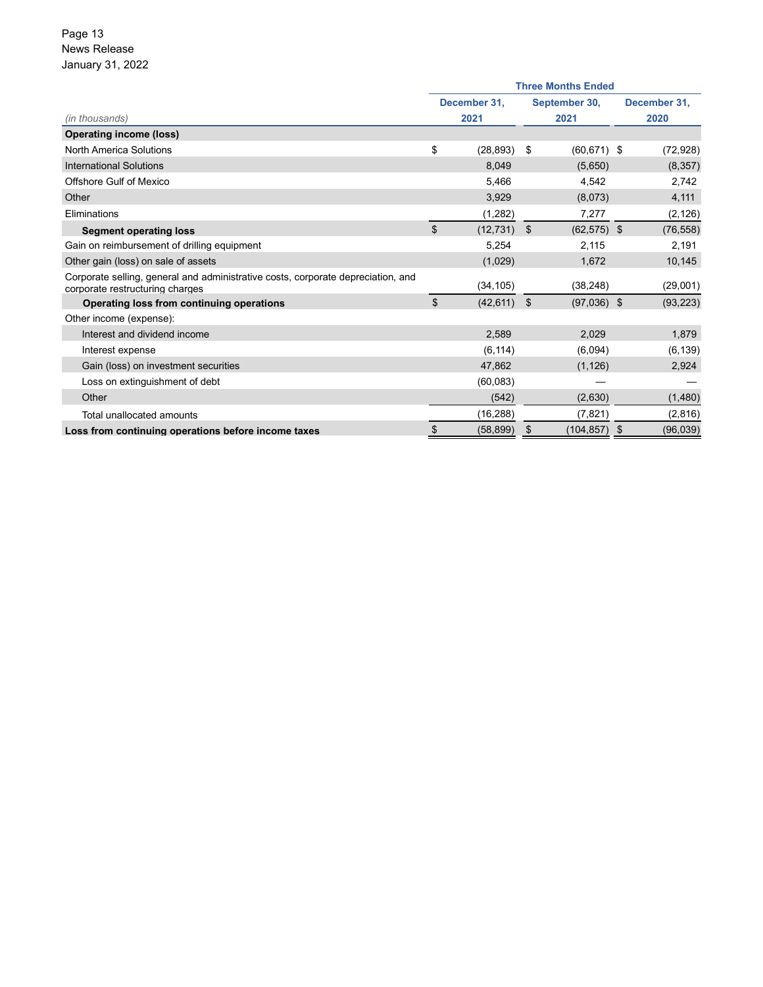### Page 13 News Release January 31, 2022

|                                                                                                                     | <b>Three Months Ended</b> |              |    |                 |  |              |  |  |  |  |  |  |
|---------------------------------------------------------------------------------------------------------------------|---------------------------|--------------|----|-----------------|--|--------------|--|--|--|--|--|--|
|                                                                                                                     |                           | December 31, |    | September 30,   |  | December 31, |  |  |  |  |  |  |
| (in thousands)                                                                                                      | 2021                      |              |    | 2021            |  | 2020         |  |  |  |  |  |  |
| <b>Operating income (loss)</b>                                                                                      |                           |              |    |                 |  |              |  |  |  |  |  |  |
| <b>North America Solutions</b>                                                                                      | \$                        | (28, 893)    | \$ | $(60, 671)$ \$  |  | (72, 928)    |  |  |  |  |  |  |
| <b>International Solutions</b>                                                                                      |                           | 8.049        |    | (5,650)         |  | (8, 357)     |  |  |  |  |  |  |
| <b>Offshore Gulf of Mexico</b>                                                                                      |                           | 5,466        |    | 4,542           |  | 2,742        |  |  |  |  |  |  |
| Other                                                                                                               |                           | 3,929        |    | (8,073)         |  | 4,111        |  |  |  |  |  |  |
| Eliminations                                                                                                        |                           | (1,282)      |    | 7,277           |  | (2, 126)     |  |  |  |  |  |  |
| <b>Segment operating loss</b>                                                                                       | \$                        | (12, 731)    | \$ | $(62, 575)$ \$  |  | (76, 558)    |  |  |  |  |  |  |
| Gain on reimbursement of drilling equipment                                                                         |                           | 5,254        |    | 2,115           |  | 2,191        |  |  |  |  |  |  |
| Other gain (loss) on sale of assets                                                                                 |                           | (1,029)      |    | 1,672           |  | 10,145       |  |  |  |  |  |  |
| Corporate selling, general and administrative costs, corporate depreciation, and<br>corporate restructuring charges |                           | (34, 105)    |    | (38, 248)       |  | (29,001)     |  |  |  |  |  |  |
| Operating loss from continuing operations                                                                           | \$                        | (42, 611)    | \$ | $(97,036)$ \$   |  | (93, 223)    |  |  |  |  |  |  |
| Other income (expense):                                                                                             |                           |              |    |                 |  |              |  |  |  |  |  |  |
| Interest and dividend income                                                                                        |                           | 2,589        |    | 2,029           |  | 1,879        |  |  |  |  |  |  |
| Interest expense                                                                                                    |                           | (6, 114)     |    | (6,094)         |  | (6, 139)     |  |  |  |  |  |  |
| Gain (loss) on investment securities                                                                                |                           | 47,862       |    | (1, 126)        |  | 2,924        |  |  |  |  |  |  |
| Loss on extinguishment of debt                                                                                      |                           | (60, 083)    |    |                 |  |              |  |  |  |  |  |  |
| Other                                                                                                               |                           | (542)        |    | (2,630)         |  | (1,480)      |  |  |  |  |  |  |
| Total unallocated amounts                                                                                           |                           | (16, 288)    |    | (7, 821)        |  | (2,816)      |  |  |  |  |  |  |
| Loss from continuing operations before income taxes                                                                 | \$                        | (58, 899)    | \$ | $(104, 857)$ \$ |  | (96, 039)    |  |  |  |  |  |  |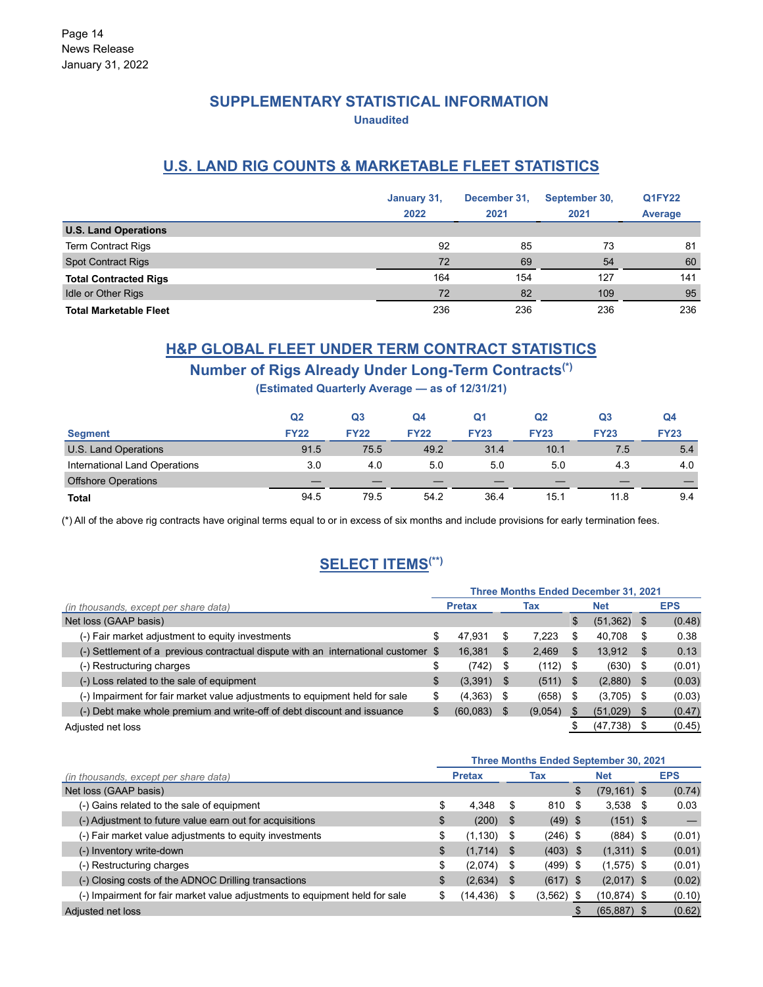### **SUPPLEMENTARY STATISTICAL INFORMATION Unaudited**

### **U.S. LAND RIG COUNTS & MARKETABLE FLEET STATISTICS**

|                               | January 31,<br>2022 | December 31,<br>2021 | September 30,<br>2021 | <b>Q1FY22</b><br>Average |
|-------------------------------|---------------------|----------------------|-----------------------|--------------------------|
| <b>U.S. Land Operations</b>   |                     |                      |                       |                          |
| Term Contract Rigs            | 92                  | 85                   | 73                    | 81                       |
| <b>Spot Contract Rigs</b>     | 72                  | 69                   | 54                    | 60                       |
| <b>Total Contracted Rigs</b>  | 164                 | 154                  | 127                   | 141                      |
| <b>Idle or Other Rigs</b>     | 72                  | 82                   | 109                   | 95                       |
| <b>Total Marketable Fleet</b> | 236                 | 236                  | 236                   | 236                      |

## **H&P GLOBAL FLEET UNDER TERM CONTRACT STATISTICS**

### **Number of Rigs Already Under Long-Term Contracts(\*)**

**(Estimated Quarterly Average — as of 12/31/21)**

|                               | Q <sub>2</sub> | Q3          | Q4          | Q1          | Q2          | Q3          | Q4          |
|-------------------------------|----------------|-------------|-------------|-------------|-------------|-------------|-------------|
| <b>Segment</b>                | <b>FY22</b>    | <b>FY22</b> | <b>FY22</b> | <b>FY23</b> | <b>FY23</b> | <b>FY23</b> | <b>FY23</b> |
| U.S. Land Operations          | 91.5           | 75.5        | 49.2        | 31.4        | 10.1        | 7.5         | 5.4         |
| International Land Operations | 3.0            | 4.0         | 5.0         | 5.0         | 5.0         | 4.3         | 4.0         |
| <b>Offshore Operations</b>    |                |             |             |             |             |             |             |
| <b>Total</b>                  | 94.5           | 79.5        | 54.2        | 36.4        | 15.1        | 11.8        | 9.4         |

(\*) All of the above rig contracts have original terms equal to or in excess of six months and include provisions for early termination fees.

### **SELECT ITEMS(\*\*)**

|                                                                                    | <b>Three Months Ended December 31, 2021</b> |           |      |         |            |              |    |            |  |  |
|------------------------------------------------------------------------------------|---------------------------------------------|-----------|------|---------|------------|--------------|----|------------|--|--|
| (in thousands, except per share data)                                              | <b>Pretax</b>                               |           | Tax  |         | <b>Net</b> |              |    | <b>EPS</b> |  |  |
| Net loss (GAAP basis)                                                              |                                             |           |      |         | \$         | (51, 362)    | -S | (0.48)     |  |  |
| (-) Fair market adjustment to equity investments                                   | \$                                          | 47.931    | \$   | 7.223   | \$         | 40,708       | S  | 0.38       |  |  |
| (-) Settlement of a previous contractual dispute with an international customer \$ |                                             | 16,381    | \$   | 2,469   | \$         | 13,912       | -S | 0.13       |  |  |
| (-) Restructuring charges                                                          | \$                                          | (742)     | - \$ | (112)   | - \$       | $(630)$ \$   |    | (0.01)     |  |  |
| (-) Loss related to the sale of equipment                                          | \$                                          | (3,391)   | - \$ | (511)   | -S         | $(2,880)$ \$ |    | (0.03)     |  |  |
| (-) Impairment for fair market value adjustments to equipment held for sale        | \$                                          | (4, 363)  |      | (658)   | S          | $(3,705)$ \$ |    | (0.03)     |  |  |
| (-) Debt make whole premium and write-off of debt discount and issuance            | \$                                          | (60, 083) |      | (9,054) | \$         | (51,029)     | \$ | (0.47)     |  |  |
| Adiusted net loss                                                                  |                                             |           |      |         |            | (47, 738)    |    | (0.45)     |  |  |

|                                                                             | <b>Three Months Ended September 30, 2021</b> |          |            |               |    |                |  |        |  |  |
|-----------------------------------------------------------------------------|----------------------------------------------|----------|------------|---------------|----|----------------|--|--------|--|--|
| (in thousands, except per share data)                                       | <b>Net</b><br><b>Pretax</b><br>Tax           |          | <b>EPS</b> |               |    |                |  |        |  |  |
| Net loss (GAAP basis)                                                       |                                              |          |            |               | \$ | $(79, 161)$ \$ |  | (0.74) |  |  |
| (-) Gains related to the sale of equipment                                  | \$                                           | 4,348    | S          | 810           | S  | $3,538$ \$     |  | 0.03   |  |  |
| (-) Adjustment to future value earn out for acquisitions                    | \$                                           | (200)    | - \$       | $(49)$ \$     |    | $(151)$ \$     |  |        |  |  |
| (-) Fair market value adjustments to equity investments                     | \$                                           | (1, 130) | - \$       | $(246)$ \$    |    | $(884)$ \$     |  | (0.01) |  |  |
| (-) Inventory write-down                                                    | \$                                           | (1,714)  | - \$       | $(403)$ \$    |    | $(1,311)$ \$   |  | (0.01) |  |  |
| (-) Restructuring charges                                                   | \$                                           | (2,074)  | - \$       | $(499)$ \$    |    | $(1,575)$ \$   |  | (0.01) |  |  |
| (-) Closing costs of the ADNOC Drilling transactions                        | \$                                           | (2,634)  | - \$       | $(617)$ \$    |    | $(2,017)$ \$   |  | (0.02) |  |  |
| (-) Impairment for fair market value adjustments to equipment held for sale | \$                                           | (14,436) | S          | $(3, 562)$ \$ |    | $(10, 874)$ \$ |  | (0.10) |  |  |
| Adjusted net loss                                                           |                                              |          |            |               |    | $(65,887)$ \$  |  | (0.62) |  |  |